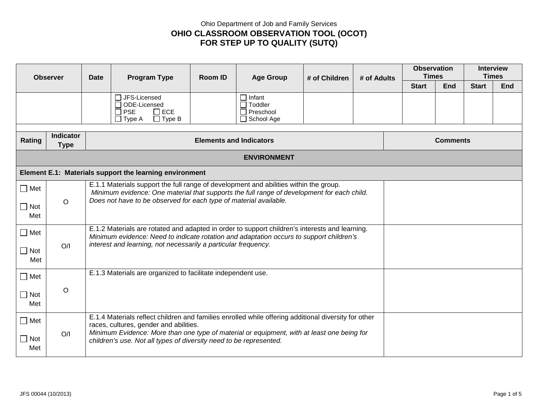## Ohio Department of Job and Family Services **OHIO CLASSROOM OBSERVATION TOOL (OCOT) FOR STEP UP TO QUALITY (SUTQ)**

| <b>Observer</b>      |                                 | <b>Date</b>                                                                                                                                                                               | <b>Program Type</b>                                                                                                                                                                 | Room ID | <b>Age Group</b>                                                    | # of Children | # of Adults     |              | <b>Observation</b><br><b>Times</b> |              | <b>Interview</b><br><b>Times</b> |  |
|----------------------|---------------------------------|-------------------------------------------------------------------------------------------------------------------------------------------------------------------------------------------|-------------------------------------------------------------------------------------------------------------------------------------------------------------------------------------|---------|---------------------------------------------------------------------|---------------|-----------------|--------------|------------------------------------|--------------|----------------------------------|--|
|                      |                                 |                                                                                                                                                                                           |                                                                                                                                                                                     |         |                                                                     |               |                 | <b>Start</b> | <b>End</b>                         | <b>Start</b> | <b>End</b>                       |  |
|                      |                                 |                                                                                                                                                                                           | □ JFS-Licensed<br>□ ODE-Licensed<br>$\square$ ECE<br>$\Box$ PSE<br>$\Box$ Type A<br>$\Box$ Type B                                                                                   |         | ヿ Infant<br>$\Box$ Toddler<br>$\Box$ Preschool<br>$\Box$ School Age |               |                 |              |                                    |              |                                  |  |
| Rating               | <b>Indicator</b><br><b>Type</b> | <b>Elements and Indicators</b>                                                                                                                                                            |                                                                                                                                                                                     |         |                                                                     |               | <b>Comments</b> |              |                                    |              |                                  |  |
| <b>ENVIRONMENT</b>   |                                 |                                                                                                                                                                                           |                                                                                                                                                                                     |         |                                                                     |               |                 |              |                                    |              |                                  |  |
|                      |                                 |                                                                                                                                                                                           | Element E.1: Materials support the learning environment                                                                                                                             |         |                                                                     |               |                 |              |                                    |              |                                  |  |
| $\square$ Met        |                                 |                                                                                                                                                                                           | E.1.1 Materials support the full range of development and abilities within the group.<br>Minimum evidence: One material that supports the full range of development for each child. |         |                                                                     |               |                 |              |                                    |              |                                  |  |
| $\square$ Not<br>Met | $\circ$                         | Does not have to be observed for each type of material available.                                                                                                                         |                                                                                                                                                                                     |         |                                                                     |               |                 |              |                                    |              |                                  |  |
| $\Box$ Met           |                                 | E.1.2 Materials are rotated and adapted in order to support children's interests and learning.<br>Minimum evidence: Need to indicate rotation and adaptation occurs to support children's |                                                                                                                                                                                     |         |                                                                     |               |                 |              |                                    |              |                                  |  |
| $\Box$ Not<br>Met    | O/I                             | interest and learning, not necessarily a particular frequency.                                                                                                                            |                                                                                                                                                                                     |         |                                                                     |               |                 |              |                                    |              |                                  |  |
| $\Box$ Met           |                                 | E.1.3 Materials are organized to facilitate independent use.                                                                                                                              |                                                                                                                                                                                     |         |                                                                     |               |                 |              |                                    |              |                                  |  |
| $\Box$ Not<br>Met    | $\circ$                         |                                                                                                                                                                                           |                                                                                                                                                                                     |         |                                                                     |               |                 |              |                                    |              |                                  |  |
| $\square$ Met        |                                 |                                                                                                                                                                                           | E.1.4 Materials reflect children and families enrolled while offering additional diversity for other<br>races, cultures, gender and abilities.                                      |         |                                                                     |               |                 |              |                                    |              |                                  |  |
| $\square$ Not<br>Met | O/I                             | Minimum Evidence: More than one type of material or equipment, with at least one being for<br>children's use. Not all types of diversity need to be represented.                          |                                                                                                                                                                                     |         |                                                                     |               |                 |              |                                    |              |                                  |  |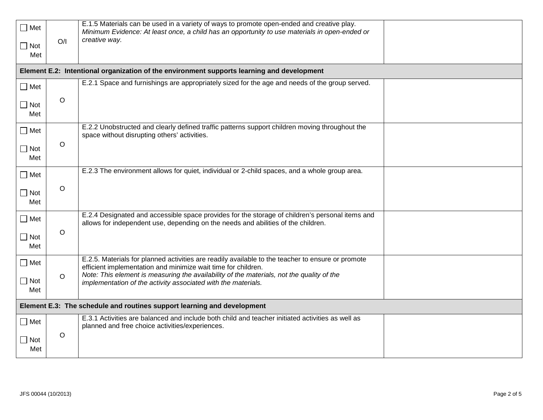| $\square$ Met<br>$\Box$ Not<br>Met                                      | O/I         | E.1.5 Materials can be used in a variety of ways to promote open-ended and creative play.<br>Minimum Evidence: At least once, a child has an opportunity to use materials in open-ended or<br>creative way. |  |  |
|-------------------------------------------------------------------------|-------------|-------------------------------------------------------------------------------------------------------------------------------------------------------------------------------------------------------------|--|--|
|                                                                         |             | Element E.2: Intentional organization of the environment supports learning and development                                                                                                                  |  |  |
| $\Box$ Met                                                              |             | E.2.1 Space and furnishings are appropriately sized for the age and needs of the group served.                                                                                                              |  |  |
| $\Box$ Not<br>Met                                                       | $\circ$     |                                                                                                                                                                                                             |  |  |
| $\square$ Met                                                           |             | E.2.2 Unobstructed and clearly defined traffic patterns support children moving throughout the<br>space without disrupting others' activities.                                                              |  |  |
| $\Box$ Not<br>Met                                                       | $\circ$     |                                                                                                                                                                                                             |  |  |
| $\square$ Met                                                           |             | E.2.3 The environment allows for quiet, individual or 2-child spaces, and a whole group area.                                                                                                               |  |  |
| $\Box$ Not<br>Met                                                       | $\circ$     |                                                                                                                                                                                                             |  |  |
| $\Box$ Met                                                              |             | E.2.4 Designated and accessible space provides for the storage of children's personal items and<br>allows for independent use, depending on the needs and abilities of the children.                        |  |  |
| $\Box$ Not<br>Met                                                       | $\circ$     |                                                                                                                                                                                                             |  |  |
| $\square$ Met                                                           |             | E.2.5. Materials for planned activities are readily available to the teacher to ensure or promote<br>efficient implementation and minimize wait time for children.                                          |  |  |
| $\Box$ Not<br>Met                                                       | $\circ$     | Note: This element is measuring the availability of the materials, not the quality of the<br>implementation of the activity associated with the materials.                                                  |  |  |
| Element E.3: The schedule and routines support learning and development |             |                                                                                                                                                                                                             |  |  |
| $\square$ Met                                                           |             | E.3.1 Activities are balanced and include both child and teacher initiated activities as well as<br>planned and free choice activities/experiences.                                                         |  |  |
| $\Box$ Not<br>Met                                                       | $\mathsf O$ |                                                                                                                                                                                                             |  |  |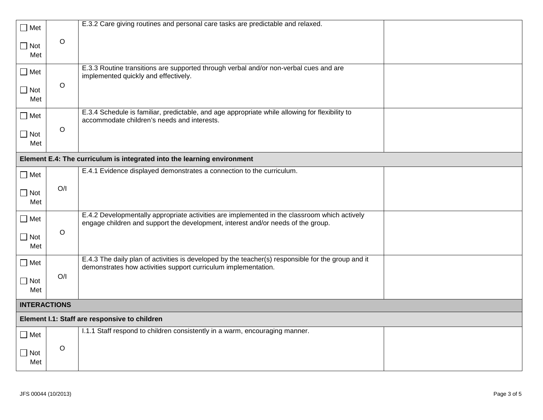| $\Box$ Met          |         | E.3.2 Care giving routines and personal care tasks are predictable and relaxed.                                                                                                  |  |  |  |
|---------------------|---------|----------------------------------------------------------------------------------------------------------------------------------------------------------------------------------|--|--|--|
| $\Box$ Not<br>Met   | $\circ$ |                                                                                                                                                                                  |  |  |  |
| $\Box$ Met          |         | E.3.3 Routine transitions are supported through verbal and/or non-verbal cues and are<br>implemented quickly and effectively.                                                    |  |  |  |
| $\Box$ Not<br>Met   | $\circ$ |                                                                                                                                                                                  |  |  |  |
| $\square$ Met       |         | E.3.4 Schedule is familiar, predictable, and age appropriate while allowing for flexibility to<br>accommodate children's needs and interests.                                    |  |  |  |
| $\Box$ Not<br>Met   | $\circ$ |                                                                                                                                                                                  |  |  |  |
|                     |         | Element E.4: The curriculum is integrated into the learning environment                                                                                                          |  |  |  |
| $\Box$ Met          |         | E.4.1 Evidence displayed demonstrates a connection to the curriculum.                                                                                                            |  |  |  |
| $\Box$ Not<br>Met   | O/I     |                                                                                                                                                                                  |  |  |  |
| $\square$ Met       |         | E.4.2 Developmentally appropriate activities are implemented in the classroom which actively<br>engage children and support the development, interest and/or needs of the group. |  |  |  |
| $\Box$ Not<br>Met   | $\circ$ |                                                                                                                                                                                  |  |  |  |
| $\square$ Met       |         | E.4.3 The daily plan of activities is developed by the teacher(s) responsible for the group and it<br>demonstrates how activities support curriculum implementation.             |  |  |  |
| $\Box$ Not<br>Met   | O/I     |                                                                                                                                                                                  |  |  |  |
| <b>INTERACTIONS</b> |         |                                                                                                                                                                                  |  |  |  |
|                     |         | Element I.1: Staff are responsive to children                                                                                                                                    |  |  |  |
| $\Box$ Met          |         | 1.1.1 Staff respond to children consistently in a warm, encouraging manner.                                                                                                      |  |  |  |
| $\Box$ Not<br>Met   | $\circ$ |                                                                                                                                                                                  |  |  |  |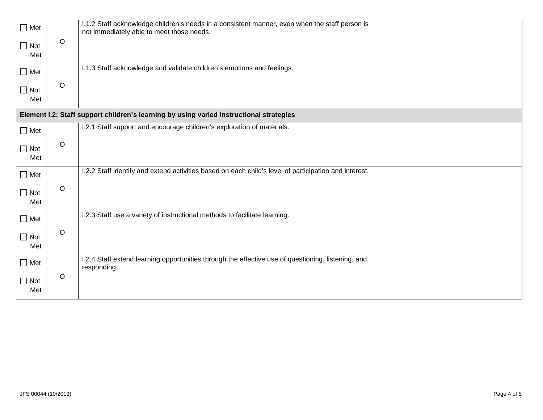| $\Box$ Met<br>$\Box$ Not | $\circ$ | I.1.2 Staff acknowledge children's needs in a consistent manner, even when the staff person is<br>not immediately able to meet those needs. |
|--------------------------|---------|---------------------------------------------------------------------------------------------------------------------------------------------|
| Met                      |         |                                                                                                                                             |
| $\Box$ Met               |         | I.1.3 Staff acknowledge and validate children's emotions and feelings.                                                                      |
| $\Box$ Not<br>Met        | $\circ$ |                                                                                                                                             |
|                          |         | Element I.2: Staff support children's learning by using varied instructional strategies                                                     |
| $\Box$ Met               |         | I.2.1 Staff support and encourage children's exploration of materials.                                                                      |
| $\Box$ Not<br>Met        | $\circ$ |                                                                                                                                             |
| $\Box$ Met               |         | I.2.2 Staff identify and extend activities based on each child's level of participation and interest.                                       |
| $\Box$ Not<br>Met        | $\circ$ |                                                                                                                                             |
| $\Box$ Met               |         | I.2.3 Staff use a variety of instructional methods to facilitate learning.                                                                  |
| $\Box$ Not<br>Met        | $\circ$ |                                                                                                                                             |
| $\Box$ Met               |         | I.2.4 Staff extend learning opportunities through the effective use of questioning, listening, and<br>responding.                           |
| $\Box$ Not<br>Met        | $\circ$ |                                                                                                                                             |